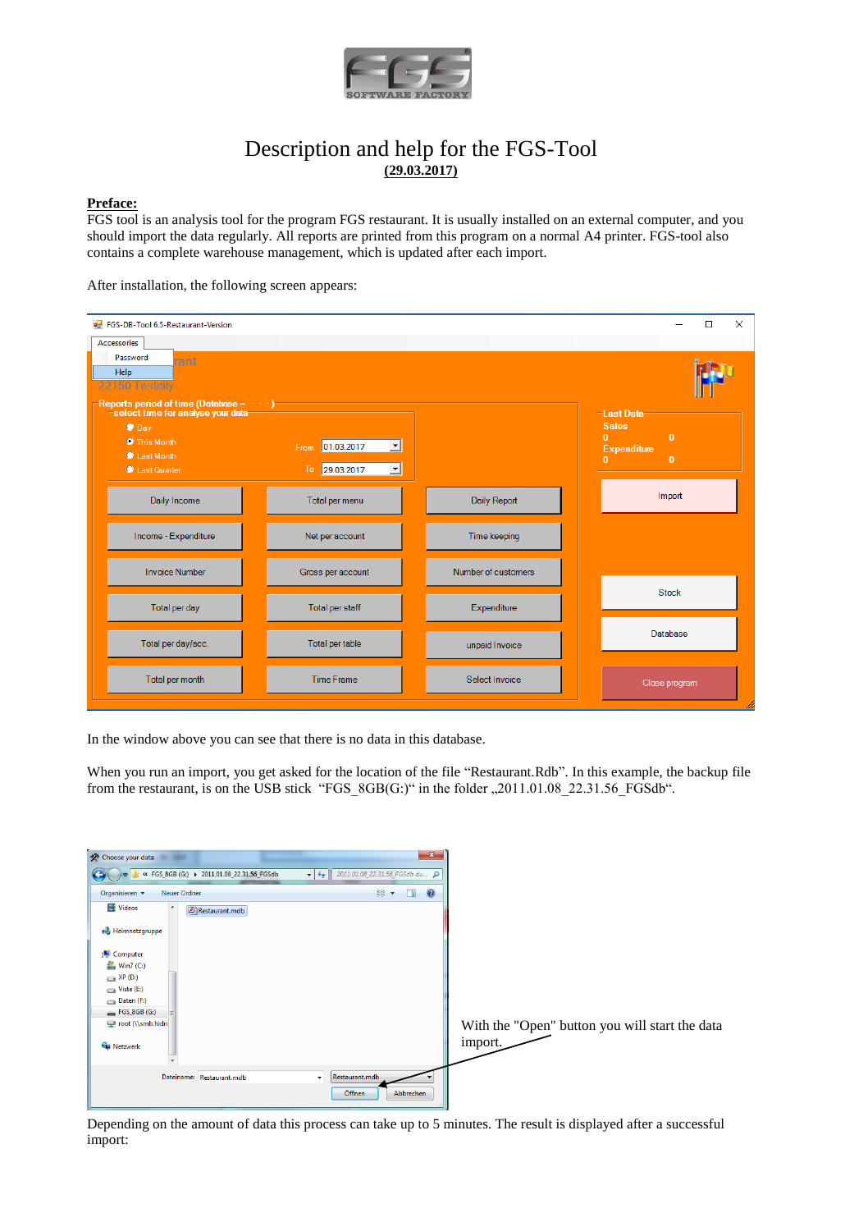

# Description and help for the FGS-Tool **(29.03.2017)**

#### **Preface:**

FGS tool is an analysis tool for the program FGS restaurant. It is usually installed on an external computer, and you should import the data regularly. All reports are printed from this program on a normal A4 printer. FGS-tool also contains a complete warehouse management, which is updated after each import.

After installation, the following screen appears:

| FGS-DB-Tool 6.5-Restaurant-Version<br>Accessories                                                        |                                                              |                     | $\times$<br>$\Box$                                                                                                                   |
|----------------------------------------------------------------------------------------------------------|--------------------------------------------------------------|---------------------|--------------------------------------------------------------------------------------------------------------------------------------|
| Password<br>rant<br>Help<br>22150 Testcity<br>Reports period of time (Database = $-$ - $-$ )             |                                                              |                     |                                                                                                                                      |
| select time for analyse your data-<br>$\bullet$ Day<br><b>O</b> This Month<br>Last Month<br>Last Quarter | From 01.03.2017<br>$\vert \cdot \vert$<br>To 29.03.2017<br>ᅬ |                     | -Last Data-<br><b>Sales</b><br>$\mathbf{0}$<br>$\overline{0}$<br><b>Expenditure</b><br>$\mathbf{0}$<br>$\mathbf{0}$ and $\mathbf{0}$ |
| Daily Income                                                                                             | Total per menu                                               | Daily Report        | Import                                                                                                                               |
| Income - Expenditure                                                                                     | Net per account                                              | Time keeping        |                                                                                                                                      |
| <b>Invoice Number</b>                                                                                    | Gross per account                                            | Number of customers |                                                                                                                                      |
| Total per day                                                                                            | Total per staff                                              | Expenditure         | <b>Stock</b>                                                                                                                         |
| Total per day/acc.                                                                                       | Total per table                                              | unpaid Invoice      | Database                                                                                                                             |
| Total per month                                                                                          | <b>Time Frame</b>                                            | Select Invoice      | Close program                                                                                                                        |

In the window above you can see that there is no data in this database.

When you run an import, you get asked for the location of the file "Restaurant.Rdb". In this example, the backup file from the restaurant, is on the USB stick "FGS\_8GB(G:)" in the folder "2011.01.08\_22.31.56\_FGSdb".

| Choose your data                                                                                                                                                         | $-\mathbf{x}$                                                     |                                                           |
|--------------------------------------------------------------------------------------------------------------------------------------------------------------------------|-------------------------------------------------------------------|-----------------------------------------------------------|
| ● « FGS_8GB (G:) ▶ 2011.01.08_22.31.56_FGSdb                                                                                                                             | $\mathbf{v}$ $\mathbf{v}$<br>2011.01.08_22.31.56_FGSdb du Q       |                                                           |
| Organisieren v<br><b>Neuer Ordner</b>                                                                                                                                    | BB -<br>$\circledcirc$<br>$\Box$                                  |                                                           |
| Videos<br>$\blacktriangle$<br>Restaurant.mdb                                                                                                                             |                                                                   |                                                           |
| <b>&amp;</b> Heimnetzgruppe                                                                                                                                              |                                                                   |                                                           |
| Computer<br>$W$ in7 (C:)<br>$\longrightarrow$ XP (D:)<br>$\sum$ Vista (E:)<br>$\Box$ Daten (F:)<br>$\equiv$ FGS_8GB (G:)<br>≡<br>root (\\smb.hidri<br><b>Gu</b> Netzwerk |                                                                   | With the "Open" button you will start the data<br>import. |
| Dateiname: Restaurant.mdb                                                                                                                                                | Restaurant.mdb<br>$\overline{\phantom{a}}$<br>Öffnen<br>Abbrechen |                                                           |

Depending on the amount of data this process can take up to 5 minutes. The result is displayed after a successful import: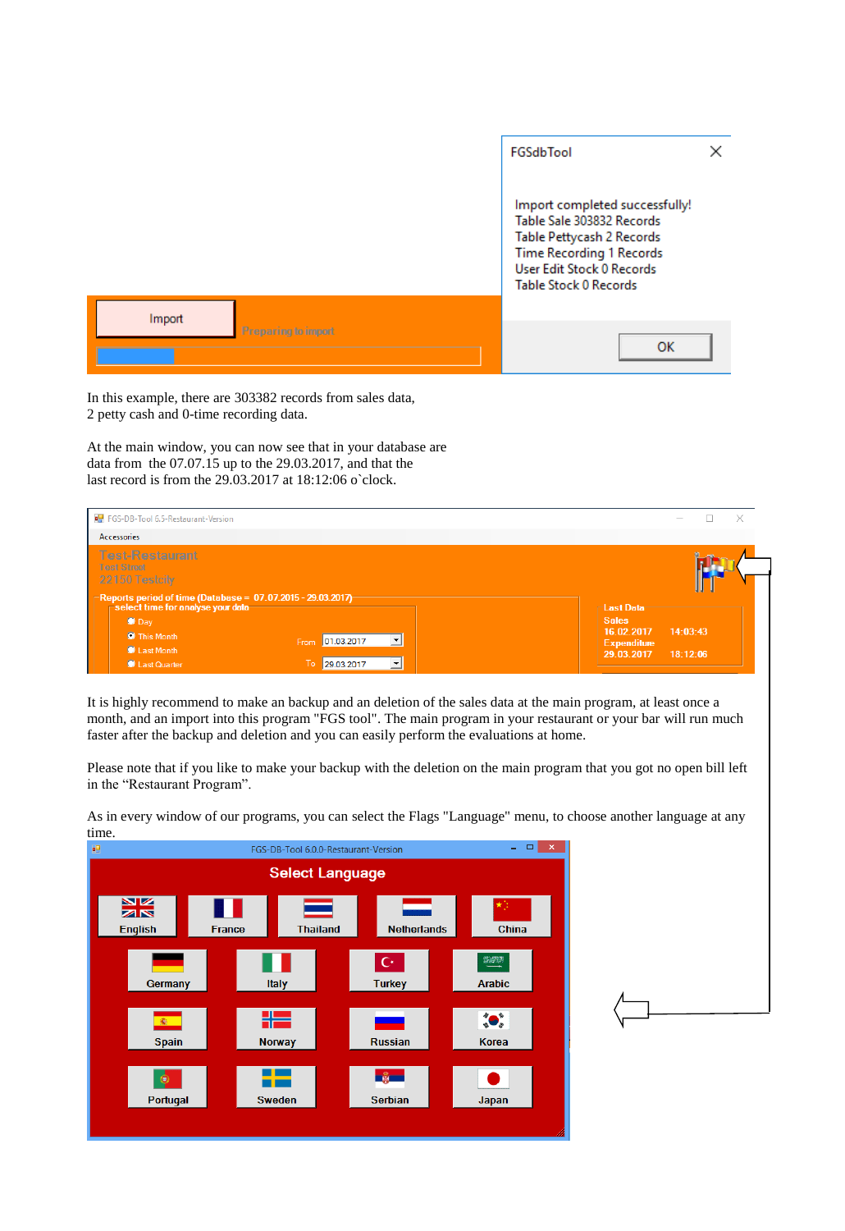|                     | FGSdbTool                                                                                                                                                                         |  |
|---------------------|-----------------------------------------------------------------------------------------------------------------------------------------------------------------------------------|--|
|                     | Import completed successfully!<br>Table Sale 303832 Records<br>Table Pettycash 2 Records<br><b>Time Recording 1 Records</b><br>User Edit Stock 0 Records<br>Table Stock 0 Records |  |
| Import              |                                                                                                                                                                                   |  |
| Preparing to import | <b>OK</b>                                                                                                                                                                         |  |

In this example, there are 303382 records from sales data, 2 petty cash and 0-time recording data.

At the main window, you can now see that in your database are data from the 07.07.15 up to the 29.03.2017, and that the last record is from the 29.03.2017 at 18:12:06 o`clock.



It is highly recommend to make an backup and an deletion of the sales data at the main program, at least once a month, and an import into this program "FGS tool". The main program in your restaurant or your bar will run much faster after the backup and deletion and you can easily perform the evaluations at home.

Please note that if you like to make your backup with the deletion on the main program that you got no open bill left in the "Restaurant Program".

 $\begin{array}{c|c|c|c|c} \hline \multicolumn{1}{c|}{\mathbb{L}} & \multicolumn{1}{c}{\mathbb{R}} & \multicolumn{1}{c}{\mathbb{R}} & \multicolumn{1}{c}{\mathbb{R}} \\ \hline \multicolumn{1}{c|}{\mathbb{L}} & \multicolumn{1}{c}{\mathbb{L}} & \multicolumn{1}{c}{\mathbb{R}} & \multicolumn{1}{c}{\mathbb{R}} & \multicolumn{1}{c}{\mathbb{R}} & \multicolumn{1}{c}{\mathbb{R}} & \multicolumn{1}{c}{\mathbb{R}} \\ \hline \multicolumn{1}{c|}{\mathbb{L}} & \$ FGS-DB-Tool 6.0.0-Restaurant-Version ē9 **Select Language**  $\frac{N}{N}$ English **France Thailand Netherlands** China  $\mathbf{C}^{\star}$ 野梨県 Italy Germany **Turkey Arabic** HZ  $\bullet$ 靏 Spain **Norway Russian Korea** ┿ **Experts**  $\bullet$  $\bullet$ Portugal Serbian Japan Sweden

As in every window of our programs, you can select the Flags "Language" menu, to choose another language at any time.

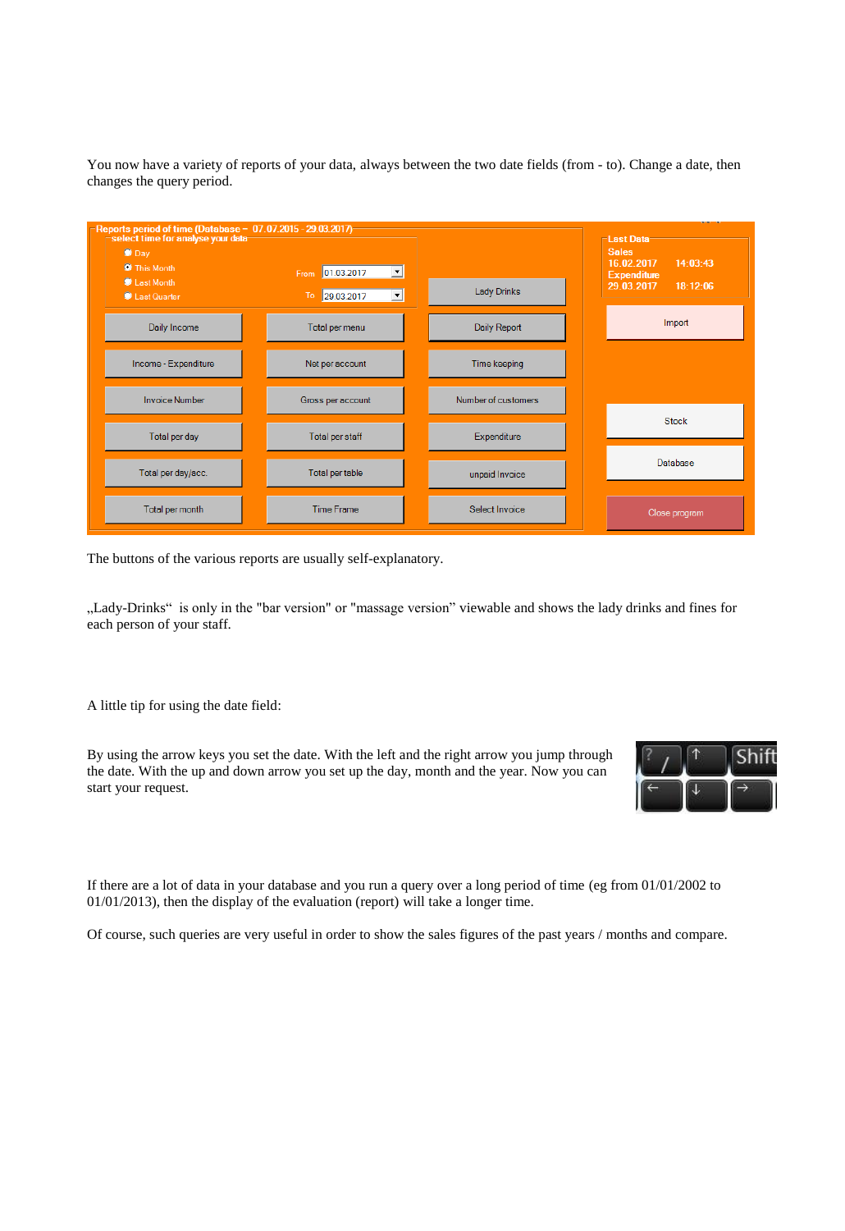You now have a variety of reports of your data, always between the two date fields (from - to). Change a date, then changes the query period.



The buttons of the various reports are usually self-explanatory.

"Lady-Drinks" is only in the "bar version" or "massage version" viewable and shows the lady drinks and fines for each person of your staff.

A little tip for using the date field:

By using the arrow keys you set the date. With the left and the right arrow you jump through the date. With the up and down arrow you set up the day, month and the year. Now you can start your request.



If there are a lot of data in your database and you run a query over a long period of time (eg from 01/01/2002 to 01/01/2013), then the display of the evaluation (report) will take a longer time.

Of course, such queries are very useful in order to show the sales figures of the past years / months and compare.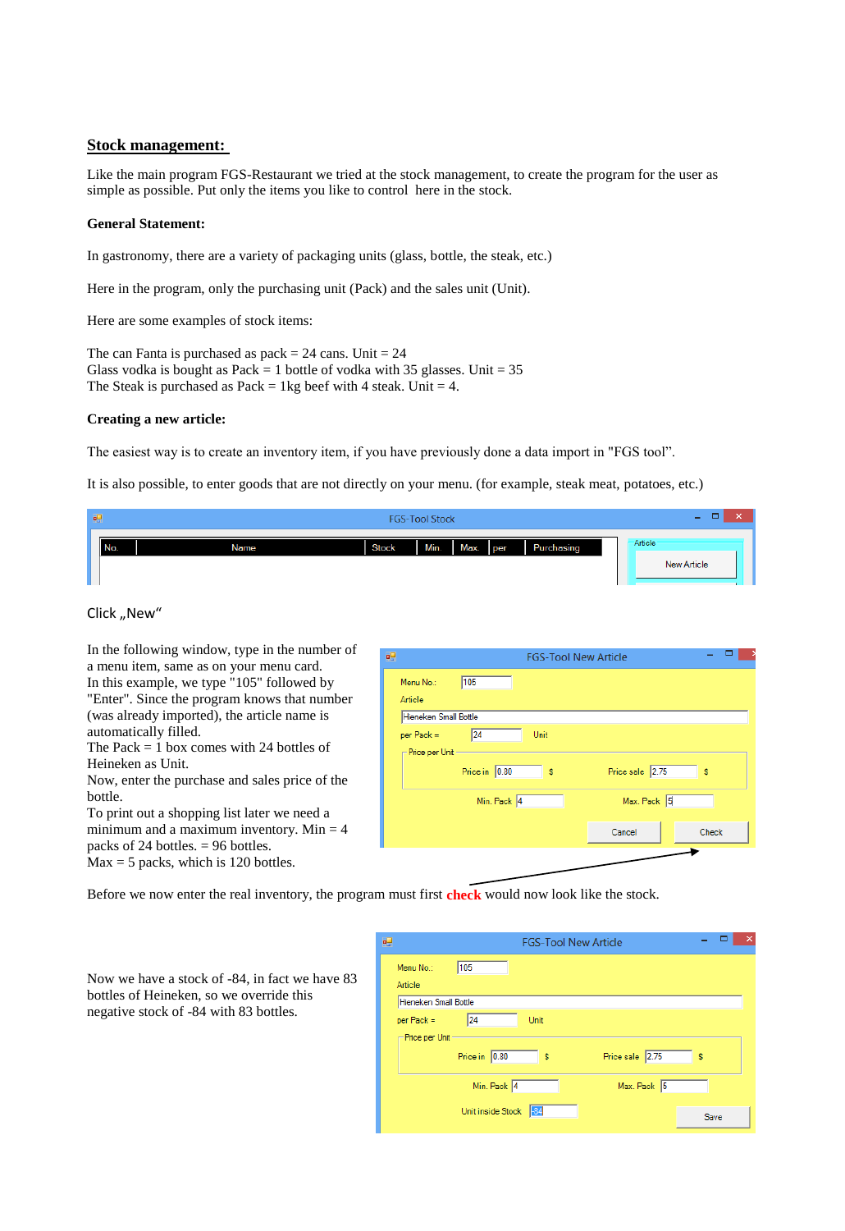## **Stock management:**

Like the main program FGS-Restaurant we tried at the stock management, to create the program for the user as simple as possible. Put only the items you like to control here in the stock.

#### **General Statement:**

In gastronomy, there are a variety of packaging units (glass, bottle, the steak, etc.)

Here in the program, only the purchasing unit (Pack) and the sales unit (Unit).

Here are some examples of stock items:

The can Fanta is purchased as  $pack = 24$  cans. Unit = 24 Glass vodka is bought as Pack = 1 bottle of vodka with 35 glasses. Unit =  $35$ The Steak is purchased as Pack = 1kg beef with 4 steak. Unit = 4.

#### **Creating a new article:**

The easiest way is to create an inventory item, if you have previously done a data import in "FGS tool".

It is also possible, to enter goods that are not directly on your menu. (for example, steak meat, potatoes, etc.)

| 團   |      |              | <b>FGS-Tool Stock</b> |      |     |            | -                             |
|-----|------|--------------|-----------------------|------|-----|------------|-------------------------------|
| No. | Name | <b>Stock</b> | Min.                  | Max. | per | Purchasing | Article<br><b>New Article</b> |

### Click "New"

In the following window, type in the number of a menu item, same as on your menu card. In this example, we type "105" followed by "Enter". Since the program knows that number (was already imported), the article name is automatically filled.

The Pack  $= 1$  box comes with 24 bottles of Heineken as Unit.

Now, enter the purchase and sales price of the bottle.

To print out a shopping list later we need a minimum and a maximum inventory. Min  $=$  4 packs of 24 bottles. = 96 bottles.  $Max = 5$  packs, which is 120 bottles.

| o,                             |                     | <b>FGS-Tool New Article</b> |                       |       |
|--------------------------------|---------------------|-----------------------------|-----------------------|-------|
| Menu No.:<br>Article           | 105                 |                             |                       |       |
| Hieneken Small Bottle          |                     |                             |                       |       |
| per Pack =<br>- Price per Unit | 24<br>Price in 0.80 | Unit<br>s                   | Price sale 2.75       | s     |
|                                | Min. Pack 4         |                             | Max. Pack 5<br>Cancel | Check |
|                                |                     |                             |                       |       |

Before we now enter the real inventory, the program must first **check** would now look like the stock.

| ×<br>吧<br><b>FGS-Tool New Article</b>      |
|--------------------------------------------|
| 105<br>Menu No.:<br>Article                |
| Hieneken Small Bottle                      |
| 24<br>Unit<br>$per$ Pack =                 |
| <del>⊩</del> Price per Unit -              |
| Price in 0.80<br>Price sale 2.75<br>s<br>s |
| Min. Pack 4<br>Max. Pack 5                 |
| Unit inside Stock<br>$-84$<br>Save         |

Now we have a stock of -84, in fact we have 83 bottles of Heineken, so we override this negative stock of -84 with 83 bottles.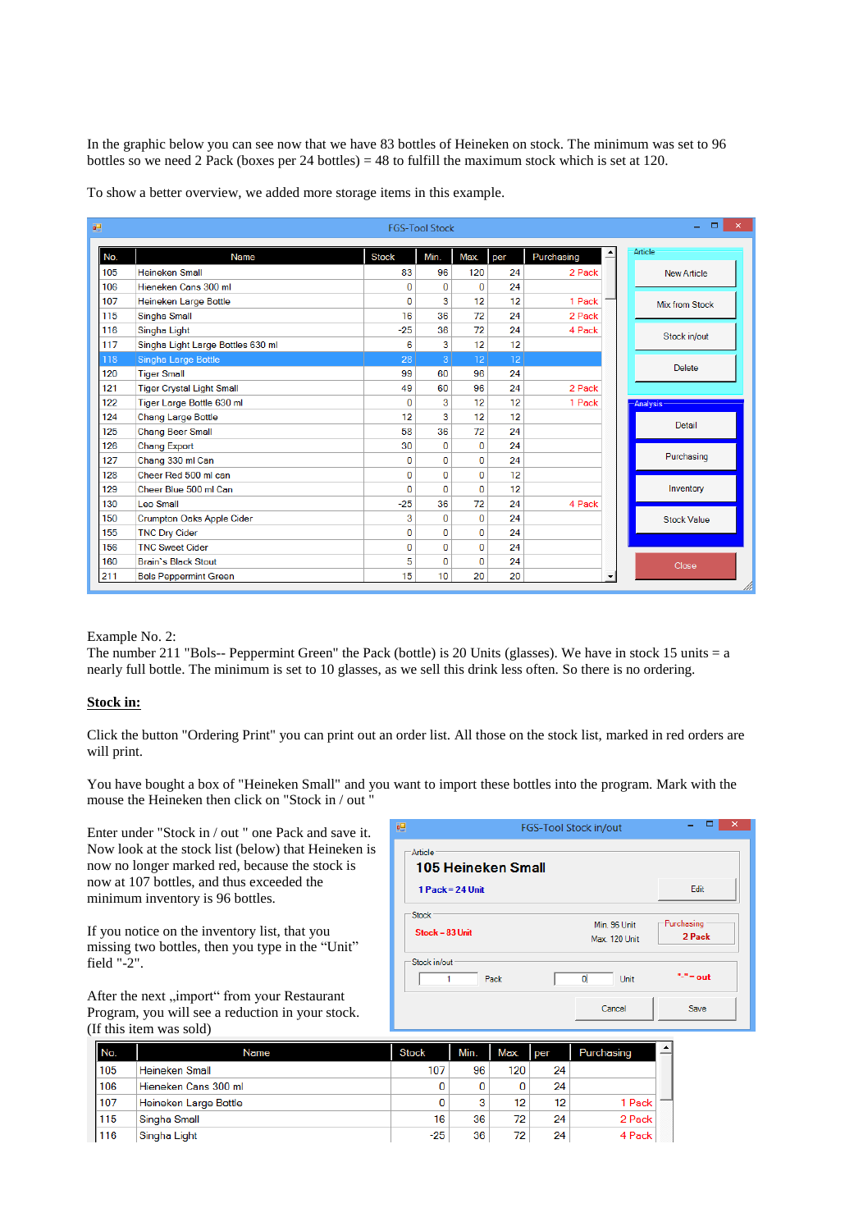In the graphic below you can see now that we have 83 bottles of Heineken on stock. The minimum was set to 96 bottles so we need 2 Pack (boxes per 24 bottles) = 48 to fulfill the maximum stock which is set at 120.

To show a better overview, we added more storage items in this example.

| 硘   |                                   |              | <b>FGS-Tool Stock</b> |                |     |            |                          | $\Box$<br>×<br>÷   |
|-----|-----------------------------------|--------------|-----------------------|----------------|-----|------------|--------------------------|--------------------|
| No. | Name                              | <b>Stock</b> | Min.                  | Max.           | per | Purchasing | Ê                        | Article            |
| 105 | <b>Heineken Small</b>             | 83           | 96                    | 120            | 24  | 2 Pack     |                          | <b>New Article</b> |
| 106 | Hieneken Cans 300 ml              | 0            | $\bf{0}$              | 0              | 24  |            |                          |                    |
| 107 | <b>Heineken Large Bottle</b>      | $\Omega$     | 3                     | 12             | 12  | 1 Pack     |                          | Mix from Stock     |
| 115 | Singha Small                      | 16           | 36                    | 72             | 24  | 2 Pack     |                          |                    |
| 116 | Singha Light                      | $-25$        | 36                    | 72             | 24  | 4 Pack     |                          | Stock in/out       |
| 117 | Singha Light Large Bottles 630 ml | 6            | 3                     | 12             | 12  |            |                          |                    |
| 118 | Singha Large Bottle               | 28           | 3                     | 12             | 12  |            |                          |                    |
| 120 | <b>Tiger Small</b>                | 99           | 60                    | 96             | 24  |            |                          | <b>Delete</b>      |
| 121 | <b>Tiger Crystal Light Small</b>  | 49           | 60                    | 96             | 24  | 2 Pack     |                          |                    |
| 122 | Tiger Large Bottle 630 ml         | $\Omega$     | 3                     | 12             | 12  | 1 Pack     |                          | -Analysis          |
| 124 | <b>Chang Large Bottle</b>         | 12           | 3                     | 12             | 12  |            |                          |                    |
| 125 | <b>Chang Beer Small</b>           | 58           | 36                    | 72             | 24  |            |                          | Detail             |
| 126 | <b>Chang Export</b>               | 30           | 0                     | 0              | 24  |            |                          |                    |
| 127 | Chang 330 ml Can                  | 0            | 0                     | 0              | 24  |            |                          | Purchasing         |
| 128 | Cheer Red 500 ml can              | $\bf{0}$     | 0                     | $\bf{0}$       | 12  |            |                          |                    |
| 129 | Cheer Blue 500 ml Can             | $\Omega$     | $\bf{0}$              | $\overline{0}$ | 12  |            |                          | Inventory          |
| 130 | Leo Small                         | $-25$        | 36                    | 72             | 24  | 4 Pack     |                          |                    |
| 150 | <b>Crumpton Oaks Apple Cider</b>  | 3            | 0                     | $\overline{0}$ | 24  |            |                          | <b>Stock Value</b> |
| 155 | <b>TNC Dry Cider</b>              | $\Omega$     | 0                     | 0              | 24  |            |                          |                    |
| 156 | <b>TNC Sweet Cider</b>            | 0            | 0                     | 0              | 24  |            |                          |                    |
| 160 | <b>Brain's Black Stout</b>        | 5            | $\bf{0}$              | $\overline{0}$ | 24  |            |                          | Close              |
| 211 | <b>Bols Peppermint Green</b>      | 15           | 10                    | 20             | 20  |            | $\overline{\phantom{a}}$ |                    |

#### Example No. 2:

The number 211 "Bols-- Peppermint Green" the Pack (bottle) is 20 Units (glasses). We have in stock 15 units = a nearly full bottle. The minimum is set to 10 glasses, as we sell this drink less often. So there is no ordering.

#### **Stock in:**

Click the button "Ordering Print" you can print out an order list. All those on the stock list, marked in red orders are will print.

You have bought a box of "Heineken Small" and you want to import these bottles into the program. Mark with the mouse the Heineken then click on "Stock in / out "

Enter under "Stock in / out " one Pack and save it. Now look at the stock list (below) that Heineken is now no longer marked red, because the stock is now at 107 bottles, and thus exceeded the minimum inventory is 96 bottles.

If you notice on the inventory list, that you missing two bottles, then you type in the "Unit" field "-2".

After the next "import" from your Restaurant Program, you will see a reduction in your stock. (If this item was sold)

| 吧                                 | <b>FGS-Tool Stock in/out</b>  | $\boldsymbol{\mathsf{x}}$ |
|-----------------------------------|-------------------------------|---------------------------|
| Article<br>105 Heineken Small     |                               |                           |
| 1 Pack = 24 Unit                  |                               | Edit                      |
| <b>Stock</b><br>$Stock = 83$ Unit | Min. 96 Unit<br>Max. 120 Unit | Purchasing<br>2 Pack      |
| Stock in/out<br>Pack              | o<br>Unit                     | "-" = out                 |
|                                   | Cancel                        | Save                      |

| No. | Name                  | <b>Stock</b> | Min. | Max. | l per | Purchasing | $\blacktriangle$ |
|-----|-----------------------|--------------|------|------|-------|------------|------------------|
| 105 | <b>Heineken Small</b> | 107          | 96   | 120  | 24    |            |                  |
| 106 | Hieneken Cans 300 ml  |              | 0    | 0    | 24    |            |                  |
| 107 | Heineken Large Bottle |              | 3    | 12   | 12    | 1 Pack     |                  |
| 115 | Singha Small          | 16           | 36   | 72   | 24    | 2 Pack     |                  |
| 116 | Singha Light          | $-25$        | 36   | 72   | 24    | 4 Pack     |                  |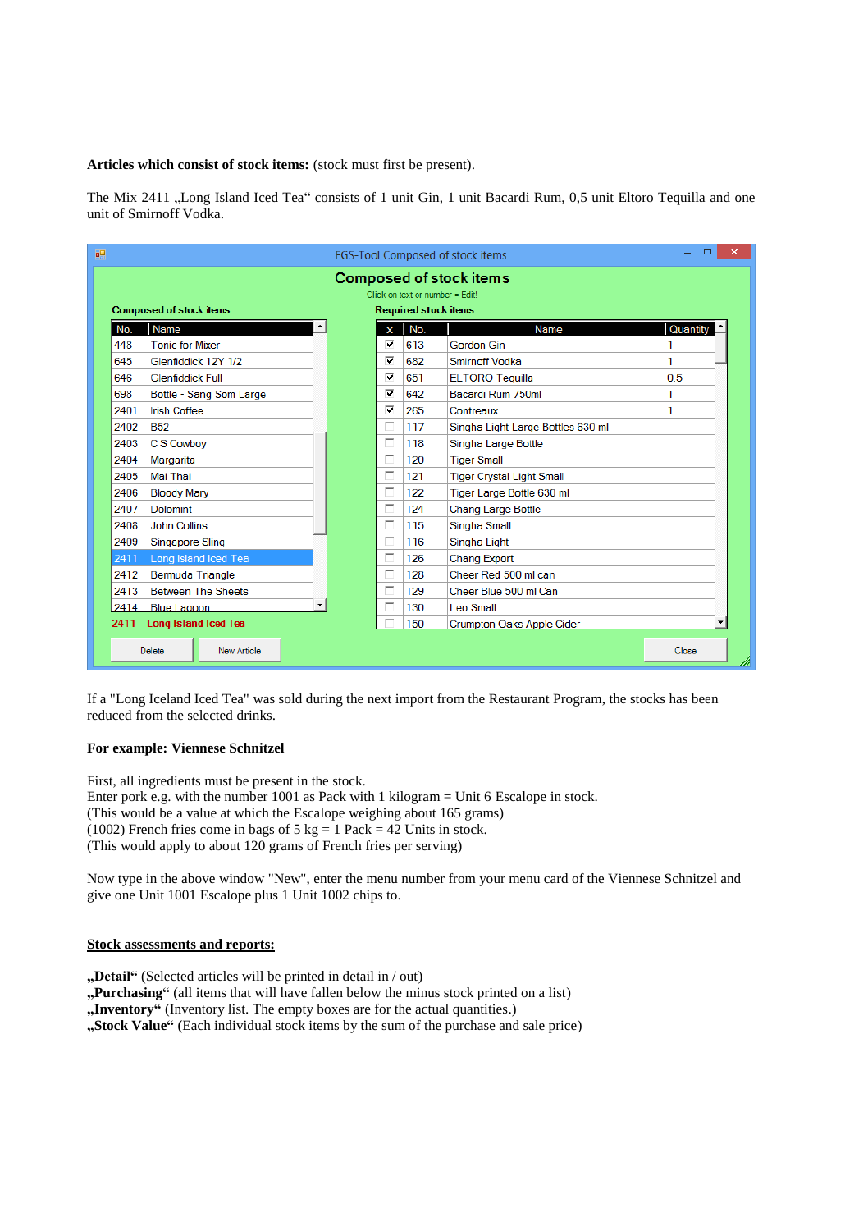**Articles which consist of stock items:** (stock must first be present).

The Mix 2411 "Long Island Iced Tea" consists of 1 unit Gin, 1 unit Bacardi Rum, 0,5 unit Eltoro Tequilla and one unit of Smirnoff Vodka.

|      | <b>Composed of stock items</b><br>Click on text or number = Edit! |  |             |                             |                                   |          |  |  |  |
|------|-------------------------------------------------------------------|--|-------------|-----------------------------|-----------------------------------|----------|--|--|--|
|      | <b>Composed of stock items</b>                                    |  |             | <b>Required stock items</b> |                                   |          |  |  |  |
| No.  | Name                                                              |  | $\mathbf x$ | No.                         | <b>Name</b>                       | Quantity |  |  |  |
| 448  | <b>Tonic for Mixer</b>                                            |  | ⊽           | 613                         | Gordon Gin                        |          |  |  |  |
| 645  | Glenfiddick 12Y 1/2                                               |  | ☑           | 682                         | Smirnoff Vodka                    | 1        |  |  |  |
| 646  | <b>Glenfiddick Full</b>                                           |  | ⊽           | 651                         | <b>ELTORO</b> Tequilla            | 0.5      |  |  |  |
| 698  | Bottle - Sang Som Large                                           |  | ⊽           | 642                         | Bacardi Rum 750ml                 | 1        |  |  |  |
| 2401 | <b>Irish Coffee</b>                                               |  | ⊽           | 265                         | Contreaux                         |          |  |  |  |
| 2402 | <b>B52</b>                                                        |  | п           | 117                         | Singha Light Large Bottles 630 ml |          |  |  |  |
| 2403 | C S Cowboy                                                        |  | П           | 118                         | Singha Large Bottle               |          |  |  |  |
| 2404 | Margarita                                                         |  | П           | 120                         | <b>Tiger Small</b>                |          |  |  |  |
| 2405 | Mai Thai                                                          |  | П           | 121                         | <b>Tiger Crystal Light Small</b>  |          |  |  |  |
| 2406 | <b>Bloody Mary</b>                                                |  | п           | 122                         | Tiger Large Bottle 630 ml         |          |  |  |  |
| 2407 | Dolomint                                                          |  | П           | 124                         | <b>Chang Large Bottle</b>         |          |  |  |  |
| 2408 | <b>John Collins</b>                                               |  | п           | 115                         | Singha Small                      |          |  |  |  |
| 2409 | <b>Singapore Sling</b>                                            |  | п           | 116                         | Singha Light                      |          |  |  |  |
| 2411 | Long Island Iced Tea                                              |  | П           | 126                         | <b>Chang Export</b>               |          |  |  |  |
| 2412 | <b>Bermuda Triangle</b>                                           |  | П           | 128                         | Cheer Red 500 ml can              |          |  |  |  |
| 2413 | <b>Between The Sheets</b>                                         |  | П           | 129                         | Cheer Blue 500 ml Can             |          |  |  |  |
| 2414 | <b>Blue Lagoon</b>                                                |  | г           | 130                         | Leo Small                         |          |  |  |  |
| 2411 | <b>Long Island Iced Tea</b>                                       |  |             | 150                         | <b>Crumpton Oaks Apple Cider</b>  |          |  |  |  |

If a "Long Iceland Iced Tea" was sold during the next import from the Restaurant Program, the stocks has been reduced from the selected drinks.

### **For example: Viennese Schnitzel**

First, all ingredients must be present in the stock. Enter pork e.g. with the number 1001 as Pack with 1 kilogram = Unit 6 Escalope in stock. (This would be a value at which the Escalope weighing about 165 grams) (1002) French fries come in bags of  $5 \text{ kg} = 1 \text{ Pack} = 42 \text{ Units}$  in stock. (This would apply to about 120 grams of French fries per serving)

Now type in the above window "New", enter the menu number from your menu card of the Viennese Schnitzel and give one Unit 1001 Escalope plus 1 Unit 1002 chips to.

### **Stock assessments and reports:**

**"Detail"** (Selected articles will be printed in detail in / out)

**"Purchasing"** (all items that will have fallen below the minus stock printed on a list)

"Inventory" (Inventory list. The empty boxes are for the actual quantities.)

**"Stock Value" (**Each individual stock items by the sum of the purchase and sale price)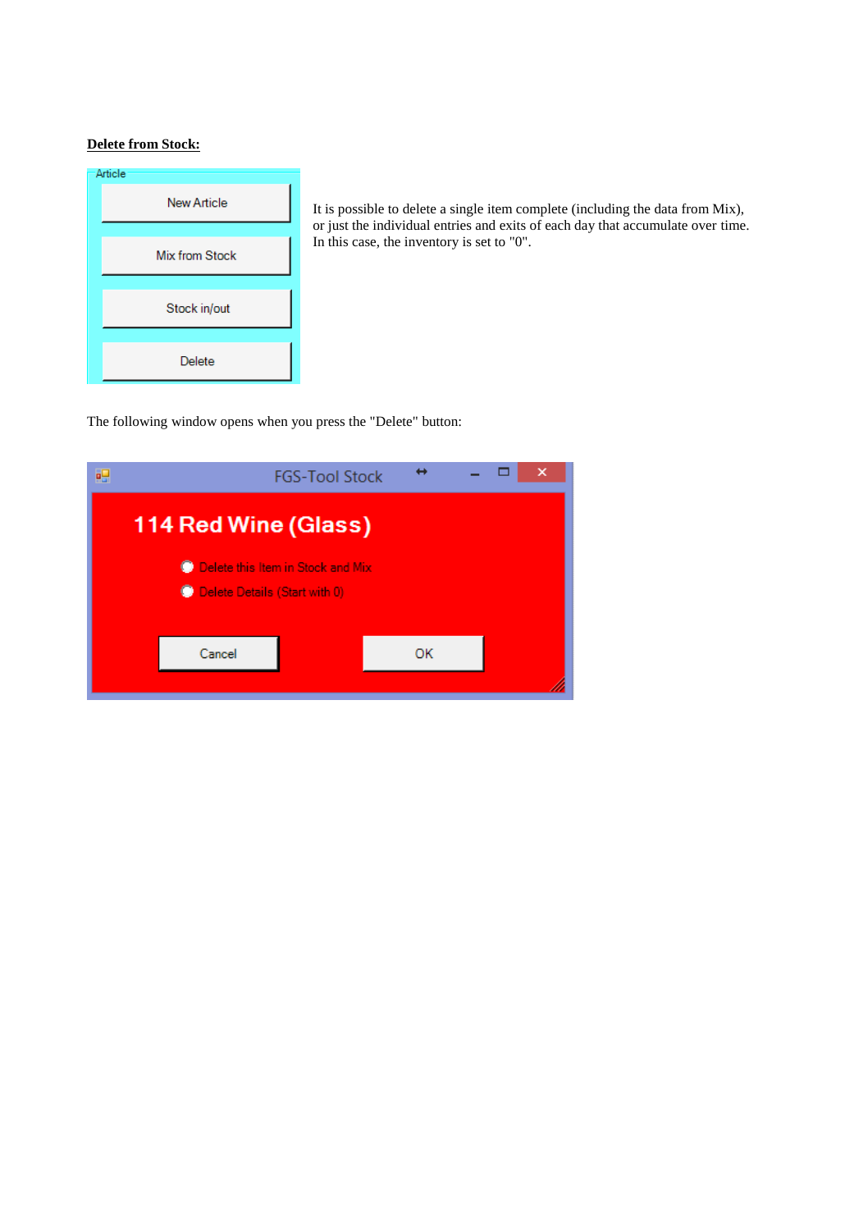## **Delete from Stock:**



It is possible to delete a single item complete (including the data from Mix), or just the individual entries and exits of each day that accumulate over time. In this case, the inventory is set to "0".

The following window opens when you press the "Delete" button: